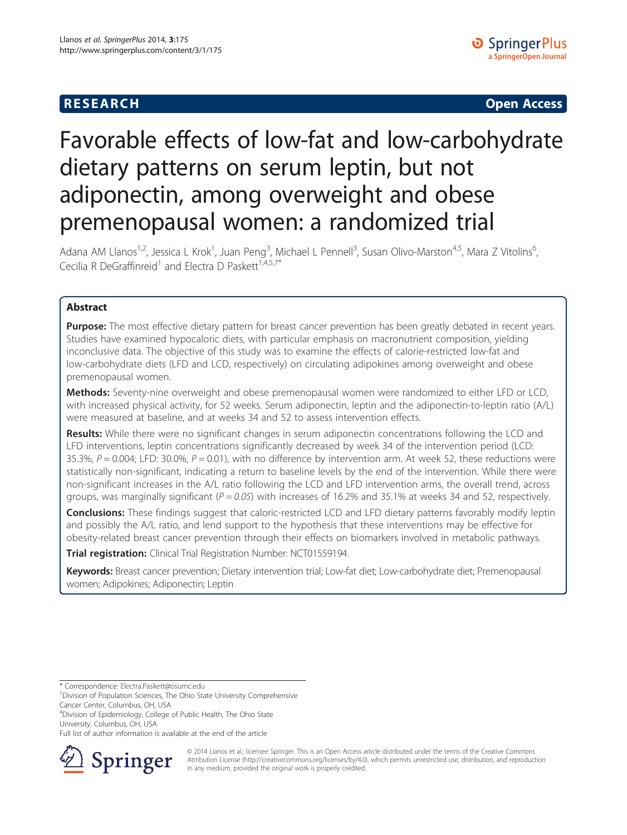## **RESEARCH CHILD CONTROL** CONTROL CONTROL CONTROL CONTROL CONTROL CONTROL CONTROL CONTROL CONTROL CONTROL CONTROL CONTROL CONTROL CONTROL CONTROL CONTROL CONTROL CONTROL CONTROL CONTROL CONTROL CONTROL CONTROL CONTROL CONTR

# Favorable effects of low-fat and low-carbohydrate dietary patterns on serum leptin, but not adiponectin, among overweight and obese premenopausal women: a randomized trial

Adana AM Llanos<sup>1,2</sup>, Jessica L Krok<sup>1</sup>, Juan Peng<sup>3</sup>, Michael L Pennell<sup>3</sup>, Susan Olivo-Marston<sup>4,5</sup>, Mara Z Vitolins<sup>6</sup> , Cecilia R DeGraffinreid<sup>1</sup> and Electra D Paskett<sup>1,4,5,7\*</sup>

## Abstract

Purpose: The most effective dietary pattern for breast cancer prevention has been greatly debated in recent years. Studies have examined hypocaloric diets, with particular emphasis on macronutrient composition, yielding inconclusive data. The objective of this study was to examine the effects of calorie-restricted low-fat and low-carbohydrate diets (LFD and LCD, respectively) on circulating adipokines among overweight and obese premenopausal women.

Methods: Seventy-nine overweight and obese premenopausal women were randomized to either LFD or LCD, with increased physical activity, for 52 weeks. Serum adiponectin, leptin and the adiponectin-to-leptin ratio (A/L) were measured at baseline, and at weeks 34 and 52 to assess intervention effects.

Results: While there were no significant changes in serum adiponectin concentrations following the LCD and LFD interventions, leptin concentrations significantly decreased by week 34 of the intervention period (LCD: 35.3%,  $P = 0.004$ ; LFD: 30.0%,  $P = 0.01$ ), with no difference by intervention arm. At week 52, these reductions were statistically non-significant, indicating a return to baseline levels by the end of the intervention. While there were non-significant increases in the A/L ratio following the LCD and LFD intervention arms, the overall trend, across groups, was marginally significant ( $P = 0.05$ ) with increases of 16.2% and 35.1% at weeks 34 and 52, respectively.

Conclusions: These findings suggest that caloric-restricted LCD and LFD dietary patterns favorably modify leptin and possibly the A/L ratio, and lend support to the hypothesis that these interventions may be effective for obesity-related breast cancer prevention through their effects on biomarkers involved in metabolic pathways.

Trial registration: Clinical Trial Registration Number: [NCT01559194.](http://www.clinicaltrials.gov/ct2/show/NCT01559194?term=NCT01559194&rank=1)

Keywords: Breast cancer prevention; Dietary intervention trial; Low-fat diet; Low-carbohydrate diet; Premenopausal women; Adipokines; Adiponectin; Leptin

Full list of author information is available at the end of the article



© 2014 Llanos et al.; licensee Springer. This is an Open Access article distributed under the terms of the Creative Commons Attribution License [\(http://creativecommons.org/licenses/by/4.0\)](http://creativecommons.org/licenses/by/4.0), which permits unrestricted use, distribution, and reproduction in any medium, provided the original work is properly credited.

<sup>\*</sup> Correspondence: [Electra.Paskett@osumc.edu](mailto:Electra.Paskett@osumc.edu) <sup>1</sup>

<sup>&</sup>lt;sup>1</sup> Division of Population Sciences, The Ohio State University Comprehensive Cancer Center, Columbus, OH, USA

<sup>4</sup> Division of Epidemiology, College of Public Health, The Ohio State University, Columbus, OH, USA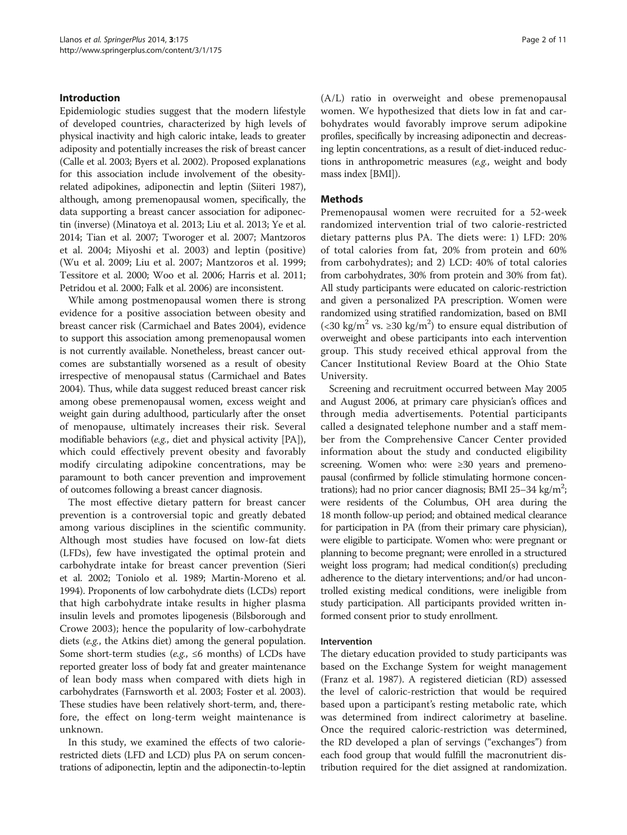## Introduction

Epidemiologic studies suggest that the modern lifestyle of developed countries, characterized by high levels of physical inactivity and high caloric intake, leads to greater adiposity and potentially increases the risk of breast cancer (Calle et al. [2003](#page-9-0); Byers et al. [2002\)](#page-9-0). Proposed explanations for this association include involvement of the obesityrelated adipokines, adiponectin and leptin (Siiteri [1987](#page-10-0)), although, among premenopausal women, specifically, the data supporting a breast cancer association for adiponectin (inverse) (Minatoya et al. [2013;](#page-9-0) Liu et al. [2013;](#page-9-0) Ye et al. [2014;](#page-10-0) Tian et al. [2007](#page-10-0); Tworoger et al. [2007](#page-10-0); Mantzoros et al. [2004](#page-9-0); Miyoshi et al. [2003](#page-9-0)) and leptin (positive) (Wu et al. [2009](#page-10-0); Liu et al. [2007](#page-9-0); Mantzoros et al. [1999](#page-9-0); Tessitore et al. [2000;](#page-10-0) Woo et al. [2006](#page-10-0); Harris et al. [2011](#page-9-0); Petridou et al. [2000](#page-9-0); Falk et al. [2006\)](#page-9-0) are inconsistent.

While among postmenopausal women there is strong evidence for a positive association between obesity and breast cancer risk (Carmichael and Bates [2004\)](#page-9-0), evidence to support this association among premenopausal women is not currently available. Nonetheless, breast cancer outcomes are substantially worsened as a result of obesity irrespective of menopausal status (Carmichael and Bates [2004\)](#page-9-0). Thus, while data suggest reduced breast cancer risk among obese premenopausal women, excess weight and weight gain during adulthood, particularly after the onset of menopause, ultimately increases their risk. Several modifiable behaviors (e.g., diet and physical activity [PA]), which could effectively prevent obesity and favorably modify circulating adipokine concentrations, may be paramount to both cancer prevention and improvement of outcomes following a breast cancer diagnosis.

The most effective dietary pattern for breast cancer prevention is a controversial topic and greatly debated among various disciplines in the scientific community. Although most studies have focused on low-fat diets (LFDs), few have investigated the optimal protein and carbohydrate intake for breast cancer prevention (Sieri et al. [2002;](#page-10-0) Toniolo et al. [1989](#page-10-0); Martin-Moreno et al. [1994\)](#page-9-0). Proponents of low carbohydrate diets (LCDs) report that high carbohydrate intake results in higher plasma insulin levels and promotes lipogenesis (Bilsborough and Crowe [2003](#page-9-0)); hence the popularity of low-carbohydrate diets (e.g., the Atkins diet) among the general population. Some short-term studies (e.g.,  $\leq 6$  months) of LCDs have reported greater loss of body fat and greater maintenance of lean body mass when compared with diets high in carbohydrates (Farnsworth et al. [2003;](#page-9-0) Foster et al. [2003](#page-9-0)). These studies have been relatively short-term, and, therefore, the effect on long-term weight maintenance is unknown.

In this study, we examined the effects of two calorierestricted diets (LFD and LCD) plus PA on serum concentrations of adiponectin, leptin and the adiponectin-to-leptin (A/L) ratio in overweight and obese premenopausal women. We hypothesized that diets low in fat and carbohydrates would favorably improve serum adipokine profiles, specifically by increasing adiponectin and decreasing leptin concentrations, as a result of diet-induced reductions in anthropometric measures (e.g., weight and body mass index [BMI]).

## Methods

Premenopausal women were recruited for a 52-week randomized intervention trial of two calorie-restricted dietary patterns plus PA. The diets were: 1) LFD: 20% of total calories from fat, 20% from protein and 60% from carbohydrates); and 2) LCD: 40% of total calories from carbohydrates, 30% from protein and 30% from fat). All study participants were educated on caloric-restriction and given a personalized PA prescription. Women were randomized using stratified randomization, based on BMI (<30 kg/m<sup>2</sup> vs. ≥30 kg/m<sup>2</sup>) to ensure equal distribution of overweight and obese participants into each intervention group. This study received ethical approval from the Cancer Institutional Review Board at the Ohio State University.

Screening and recruitment occurred between May 2005 and August 2006, at primary care physician's offices and through media advertisements. Potential participants called a designated telephone number and a staff member from the Comprehensive Cancer Center provided information about the study and conducted eligibility screening. Women who: were ≥30 years and premenopausal (confirmed by follicle stimulating hormone concentrations); had no prior cancer diagnosis; BMI 25-34 kg/m<sup>2</sup>; were residents of the Columbus, OH area during the 18 month follow-up period; and obtained medical clearance for participation in PA (from their primary care physician), were eligible to participate. Women who: were pregnant or planning to become pregnant; were enrolled in a structured weight loss program; had medical condition(s) precluding adherence to the dietary interventions; and/or had uncontrolled existing medical conditions, were ineligible from study participation. All participants provided written informed consent prior to study enrollment.

### Intervention

The dietary education provided to study participants was based on the Exchange System for weight management (Franz et al. [1987\)](#page-9-0). A registered dietician (RD) assessed the level of caloric-restriction that would be required based upon a participant's resting metabolic rate, which was determined from indirect calorimetry at baseline. Once the required caloric-restriction was determined, the RD developed a plan of servings ("exchanges") from each food group that would fulfill the macronutrient distribution required for the diet assigned at randomization.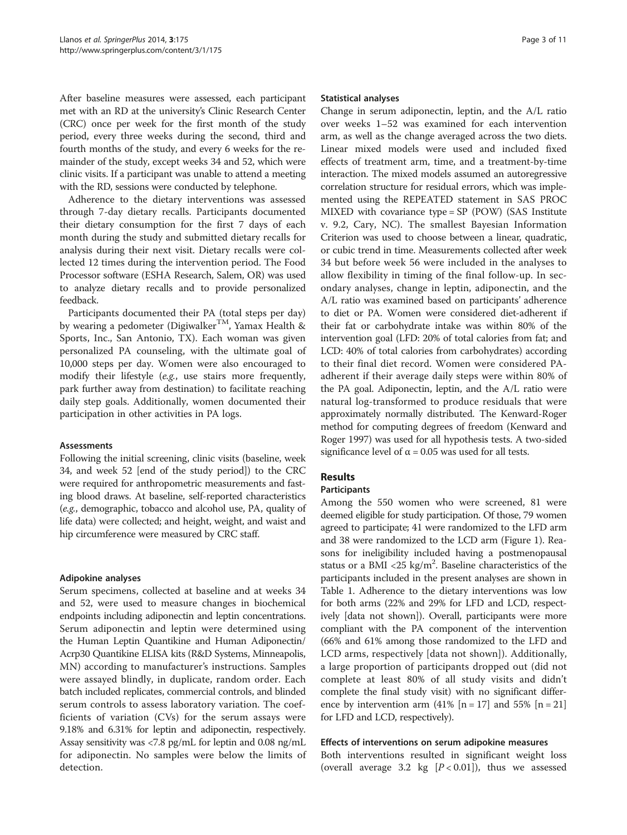After baseline measures were assessed, each participant met with an RD at the university's Clinic Research Center (CRC) once per week for the first month of the study period, every three weeks during the second, third and fourth months of the study, and every 6 weeks for the remainder of the study, except weeks 34 and 52, which were clinic visits. If a participant was unable to attend a meeting with the RD, sessions were conducted by telephone.

Adherence to the dietary interventions was assessed through 7-day dietary recalls. Participants documented their dietary consumption for the first 7 days of each month during the study and submitted dietary recalls for analysis during their next visit. Dietary recalls were collected 12 times during the intervention period. The Food Processor software (ESHA Research, Salem, OR) was used to analyze dietary recalls and to provide personalized feedback.

Participants documented their PA (total steps per day) by wearing a pedometer (Digiwalker<sup>TM</sup>, Yamax Health & Sports, Inc., San Antonio, TX). Each woman was given personalized PA counseling, with the ultimate goal of 10,000 steps per day. Women were also encouraged to modify their lifestyle (e.g., use stairs more frequently, park further away from destination) to facilitate reaching daily step goals. Additionally, women documented their participation in other activities in PA logs.

### Assessments

Following the initial screening, clinic visits (baseline, week 34, and week 52 [end of the study period]) to the CRC were required for anthropometric measurements and fasting blood draws. At baseline, self-reported characteristics (e.g., demographic, tobacco and alcohol use, PA, quality of life data) were collected; and height, weight, and waist and hip circumference were measured by CRC staff.

#### Adipokine analyses

Serum specimens, collected at baseline and at weeks 34 and 52, were used to measure changes in biochemical endpoints including adiponectin and leptin concentrations. Serum adiponectin and leptin were determined using the Human Leptin Quantikine and Human Adiponectin/ Acrp30 Quantikine ELISA kits (R&D Systems, Minneapolis, MN) according to manufacturer's instructions. Samples were assayed blindly, in duplicate, random order. Each batch included replicates, commercial controls, and blinded serum controls to assess laboratory variation. The coefficients of variation (CVs) for the serum assays were 9.18% and 6.31% for leptin and adiponectin, respectively. Assay sensitivity was <7.8 pg/mL for leptin and 0.08 ng/mL for adiponectin. No samples were below the limits of detection.

#### Statistical analyses

Change in serum adiponectin, leptin, and the A/L ratio over weeks 1–52 was examined for each intervention arm, as well as the change averaged across the two diets. Linear mixed models were used and included fixed effects of treatment arm, time, and a treatment-by-time interaction. The mixed models assumed an autoregressive correlation structure for residual errors, which was implemented using the REPEATED statement in SAS PROC MIXED with covariance type = SP (POW) (SAS Institute v. 9.2, Cary, NC). The smallest Bayesian Information Criterion was used to choose between a linear, quadratic, or cubic trend in time. Measurements collected after week 34 but before week 56 were included in the analyses to allow flexibility in timing of the final follow-up. In secondary analyses, change in leptin, adiponectin, and the A/L ratio was examined based on participants' adherence to diet or PA. Women were considered diet-adherent if their fat or carbohydrate intake was within 80% of the intervention goal (LFD: 20% of total calories from fat; and LCD: 40% of total calories from carbohydrates) according to their final diet record. Women were considered PAadherent if their average daily steps were within 80% of the PA goal. Adiponectin, leptin, and the A/L ratio were natural log-transformed to produce residuals that were approximately normally distributed. The Kenward-Roger method for computing degrees of freedom (Kenward and Roger [1997](#page-9-0)) was used for all hypothesis tests. A two-sided significance level of  $\alpha$  = 0.05 was used for all tests.

## Results

### Participants

Among the 550 women who were screened, 81 were deemed eligible for study participation. Of those, 79 women agreed to participate; 41 were randomized to the LFD arm and 38 were randomized to the LCD arm (Figure [1](#page-3-0)). Reasons for ineligibility included having a postmenopausal status or a BMI <25 kg/m<sup>2</sup>. Baseline characteristics of the participants included in the present analyses are shown in Table [1](#page-4-0). Adherence to the dietary interventions was low for both arms (22% and 29% for LFD and LCD, respectively [data not shown]). Overall, participants were more compliant with the PA component of the intervention (66% and 61% among those randomized to the LFD and LCD arms, respectively [data not shown]). Additionally, a large proportion of participants dropped out (did not complete at least 80% of all study visits and didn't complete the final study visit) with no significant difference by intervention arm  $(41\%$  [n = 17] and 55% [n = 21] for LFD and LCD, respectively).

### Effects of interventions on serum adipokine measures

Both interventions resulted in significant weight loss (overall average 3.2 kg  $[P < 0.01]$ ), thus we assessed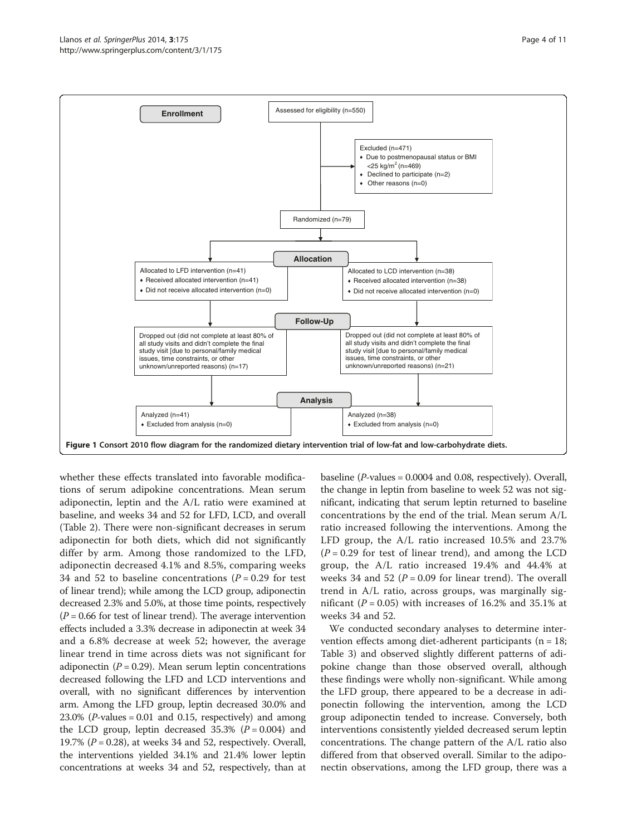<span id="page-3-0"></span>

whether these effects translated into favorable modifications of serum adipokine concentrations. Mean serum adiponectin, leptin and the A/L ratio were examined at baseline, and weeks 34 and 52 for LFD, LCD, and overall (Table [2\)](#page-5-0). There were non-significant decreases in serum adiponectin for both diets, which did not significantly differ by arm. Among those randomized to the LFD, adiponectin decreased 4.1% and 8.5%, comparing weeks 34 and 52 to baseline concentrations ( $P = 0.29$  for test of linear trend); while among the LCD group, adiponectin decreased 2.3% and 5.0%, at those time points, respectively  $(P = 0.66$  for test of linear trend). The average intervention effects included a 3.3% decrease in adiponectin at week 34 and a 6.8% decrease at week 52; however, the average linear trend in time across diets was not significant for adiponectin ( $P = 0.29$ ). Mean serum leptin concentrations decreased following the LFD and LCD interventions and overall, with no significant differences by intervention arm. Among the LFD group, leptin decreased 30.0% and  $23.0\%$  (*P*-values = 0.01 and 0.15, respectively) and among the LCD group, leptin decreased  $35.3\%$  ( $P = 0.004$ ) and 19.7% ( $P = 0.28$ ), at weeks 34 and 52, respectively. Overall, the interventions yielded 34.1% and 21.4% lower leptin concentrations at weeks 34 and 52, respectively, than at

baseline ( $P$ -values = 0.0004 and 0.08, respectively). Overall, the change in leptin from baseline to week 52 was not significant, indicating that serum leptin returned to baseline concentrations by the end of the trial. Mean serum A/L ratio increased following the interventions. Among the LFD group, the A/L ratio increased 10.5% and 23.7%  $(P = 0.29$  for test of linear trend), and among the LCD group, the A/L ratio increased 19.4% and 44.4% at weeks 34 and 52 ( $P = 0.09$  for linear trend). The overall trend in A/L ratio, across groups, was marginally significant ( $P = 0.05$ ) with increases of 16.2% and 35.1% at weeks 34 and 52.

We conducted secondary analyses to determine intervention effects among diet-adherent participants ( $n = 18$ ; Table [3\)](#page-6-0) and observed slightly different patterns of adipokine change than those observed overall, although these findings were wholly non-significant. While among the LFD group, there appeared to be a decrease in adiponectin following the intervention, among the LCD group adiponectin tended to increase. Conversely, both interventions consistently yielded decreased serum leptin concentrations. The change pattern of the A/L ratio also differed from that observed overall. Similar to the adiponectin observations, among the LFD group, there was a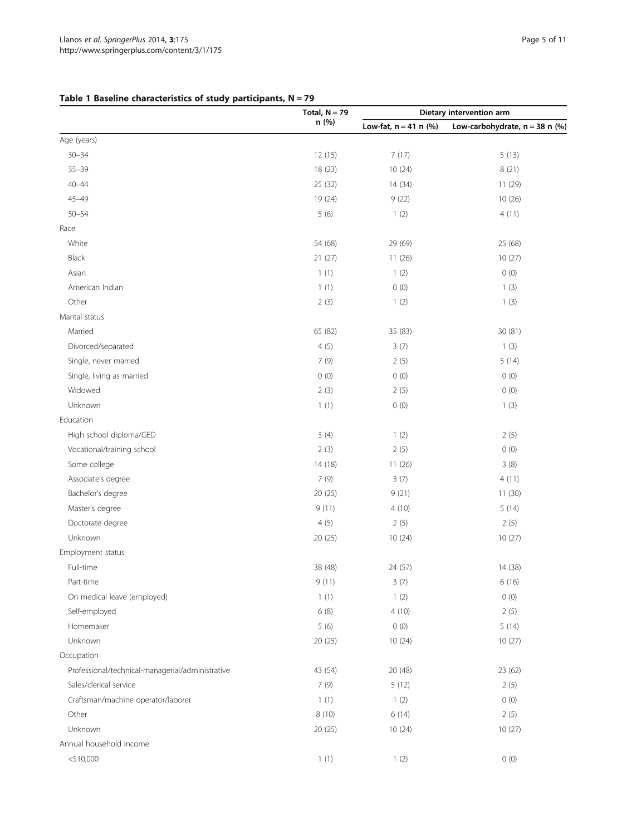## <span id="page-4-0"></span>Table 1 Baseline characteristics of study participants,  $N = 79$

|                                                  | Total, $N = 79$ | Dietary intervention arm |                                  |
|--------------------------------------------------|-----------------|--------------------------|----------------------------------|
|                                                  | n (%)           | Low-fat, $n = 41$ n (%)  | Low-carbohydrate, $n = 38$ n (%) |
| Age (years)                                      |                 |                          |                                  |
| $30 - 34$                                        | 12(15)          | 7(17)                    | 5(13)                            |
| $35 - 39$                                        | 18 (23)         | 10(24)                   | 8(21)                            |
| $40 - 44$                                        | 25 (32)         | 14 (34)                  | 11 (29)                          |
| $45 - 49$                                        | 19 (24)         | 9(22)                    | 10(26)                           |
| $50 - 54$                                        | 5(6)            | 1(2)                     | 4(11)                            |
| Race                                             |                 |                          |                                  |
| White                                            | 54 (68)         | 29 (69)                  | 25 (68)                          |
| Black                                            | 21(27)          | 11(26)                   | 10(27)                           |
| Asian                                            | 1(1)            | 1(2)                     | 0(0)                             |
| American Indian                                  | 1(1)            | 0(0)                     | 1(3)                             |
| Other                                            | 2(3)            | 1(2)                     | 1(3)                             |
| Marital status                                   |                 |                          |                                  |
| Married                                          | 65 (82)         | 35 (83)                  | 30 (81)                          |
| Divorced/separated                               | 4(5)            | 3(7)                     | 1(3)                             |
| Single, never married                            | 7(9)            | 2(5)                     | 5(14)                            |
| Single, living as married                        | 0(0)            | 0(0)                     | 0(0)                             |
| Widowed                                          | 2(3)            | 2(5)                     | 0(0)                             |
| Unknown                                          | 1(1)            | 0(0)                     | 1(3)                             |
| Education                                        |                 |                          |                                  |
| High school diploma/GED                          | 3(4)            | 1(2)                     | 2(5)                             |
| Vocational/training school                       | 2(3)            | 2(5)                     | 0(0)                             |
| Some college                                     | 14 (18)         | 11(26)                   | 3(8)                             |
| Associate's degree                               | 7(9)            | 3(7)                     | 4(11)                            |
| Bachelor's degree                                | 20 (25)         | 9(21)                    | 11(30)                           |
| Master's degree                                  | 9(11)           | 4(10)                    | 5(14)                            |
| Doctorate degree                                 | 4(5)            | 2(5)                     | 2(5)                             |
| Unknown                                          | 20(25)          | 10(24)                   | 10(27)                           |
| Employment status                                |                 |                          |                                  |
| Full-time                                        | 38 (48)         | 24 (57)                  | 14 (38)                          |
| Part-time                                        | 9(11)           | 3(7)                     | 6(16)                            |
| On medical leave (employed)                      | 1(1)            | 1(2)                     | 0(0)                             |
| Self-employed                                    | 6(8)            | 4(10)                    | 2(5)                             |
| Homemaker                                        | 5(6)            | 0(0)                     | 5(14)                            |
| Unknown                                          | 20 (25)         | 10(24)                   | 10(27)                           |
| Occupation                                       |                 |                          |                                  |
| Professional/technical-managerial/administrative | 43 (54)         | 20 (48)                  | 23 (62)                          |
| Sales/clerical service                           | 7(9)            | 5(12)                    | 2(5)                             |
| Craftsman/machine operator/laborer               | 1(1)            | 1(2)                     | 0(0)                             |
| Other                                            | 8 (10)          | 6(14)                    | 2(5)                             |
| Unknown                                          | 20 (25)         | 10(24)                   | 10(27)                           |
| Annual household income                          |                 |                          |                                  |
| $<$ \$10,000                                     | 1(1)            | 1(2)                     | 0(0)                             |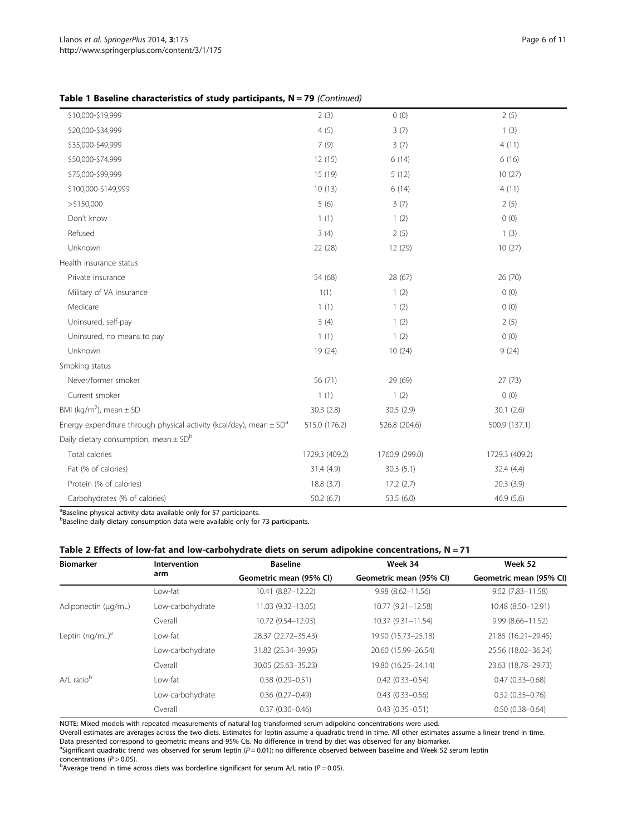<span id="page-5-0"></span>Table 1 Baseline characteristics of study participants, N = 79 (Continued)

| \$10,000-\$19,999                                                                   | 2(3)           | 0(0)           | 2(5)           |
|-------------------------------------------------------------------------------------|----------------|----------------|----------------|
| \$20,000-\$34,999                                                                   | 4(5)           | 3(7)           | 1(3)           |
| \$35,000-\$49,999                                                                   | 7(9)           | 3(7)           | 4(11)          |
| \$50,000-\$74,999                                                                   | 12(15)         | 6(14)          | 6(16)          |
| \$75,000-\$99,999                                                                   | 15 (19)        | 5(12)          | 10(27)         |
| \$100,000-\$149,999                                                                 | 10(13)         | 6(14)          | 4(11)          |
| $>$ \$150,000                                                                       | 5(6)           | 3(7)           | 2(5)           |
| Don't know                                                                          | 1(1)           | 1(2)           | 0(0)           |
| Refused                                                                             | 3(4)           | 2(5)           | 1(3)           |
| Unknown                                                                             | 22 (28)        | 12 (29)        | 10(27)         |
| Health insurance status                                                             |                |                |                |
| Private insurance                                                                   | 54 (68)        | 28 (67)        | 26 (70)        |
| Military of VA insurance                                                            | 1(1)           | 1(2)           | 0(0)           |
| Medicare                                                                            | 1(1)           | 1(2)           | 0(0)           |
| Uninsured, self-pay                                                                 | 3(4)           | 1(2)           | 2(5)           |
| Uninsured, no means to pay                                                          | 1(1)           | 1(2)           | 0(0)           |
| Unknown                                                                             | 19 (24)        | 10(24)         | 9(24)          |
| Smoking status                                                                      |                |                |                |
| Never/former smoker                                                                 | 56 (71)        | 29 (69)        | 27(73)         |
| Current smoker                                                                      | 1(1)           | 1(2)           | 0(0)           |
| BMI (kg/m <sup>2</sup> ), mean $\pm$ SD                                             | 30.3(2.8)      | 30.5(2.9)      | 30.1(2.6)      |
| Energy expenditure through physical activity (kcal/day), mean $\pm$ SD <sup>a</sup> | 515.0 (176.2)  | 526.8 (204.6)  | 500.9 (137.1)  |
| Daily dietary consumption, mean $\pm$ SD <sup>b</sup>                               |                |                |                |
| Total calories                                                                      | 1729.3 (409.2) | 1760.9 (299.0) | 1729.3 (409.2) |
| Fat (% of calories)                                                                 | 31.4 (4.9)     | 30.3(5.1)      | 32.4 (4.4)     |
| Protein (% of calories)                                                             | 18.8 (3.7)     | 17.2(2.7)      | 20.3(3.9)      |
| Carbohydrates (% of calories)                                                       | 50.2(6.7)      | 53.5 (6.0)     | 46.9 (5.6)     |

<sup>a</sup>Baseline physical activity data available only for 57 participants.

**Baseline daily dietary consumption data were available only for 73 participants.** 

## Table 2 Effects of low-fat and low-carbohydrate diets on serum adipokine concentrations,  $N = 71$

| <b>Biomarker</b>         | <b>Intervention</b> | <b>Baseline</b>         | Week 34                 | Week 52                 |
|--------------------------|---------------------|-------------------------|-------------------------|-------------------------|
|                          | arm                 | Geometric mean (95% CI) | Geometric mean (95% CI) | Geometric mean (95% CI) |
|                          | Low-fat             | 10.41 (8.87-12.22)      | $9.98(8.62 - 11.56)$    | $9.52(7.83 - 11.58)$    |
| Adiponectin (µg/mL)      | Low-carbohydrate    | 11.03 (9.32-13.05)      | 10.77 (9.21-12.58)      | 10.48 (8.50-12.91)      |
|                          | Overall             | 10.72 (9.54-12.03)      | $10.37(9.31 - 11.54)$   | $9.99(8.66 - 11.52)$    |
| Leptin $(nq/mL)^a$       | l ow-fat            | 28.37 (22.72-35.43)     | 19.90 (15.73-25.18)     | 21.85 (16.21-29.45)     |
| $A/I$ ratio <sup>b</sup> | Low-carbohydrate    | 31.82 (25.34-39.95)     | 20.60 (15.99-26.54)     | 25.56 (18.02-36.24)     |
|                          | Overall             | 30.05 (25.63-35.23)     | 19.80 (16.25-24.14)     | 23.63 (18.78-29.73)     |
|                          | l ow-fat            | $0.38(0.29 - 0.51)$     | $0.42(0.33 - 0.54)$     | $0.47(0.33 - 0.68)$     |
|                          | Low-carbohydrate    | $0.36(0.27 - 0.49)$     | $0.43(0.33 - 0.56)$     | $0.52(0.35 - 0.76)$     |
|                          | Overall             | $0.37(0.30 - 0.46)$     | $0.43(0.35 - 0.51)$     | $0.50(0.38 - 0.64)$     |

NOTE: Mixed models with repeated measurements of natural log transformed serum adipokine concentrations were used.

Overall estimates are averages across the two diets. Estimates for leptin assume a quadratic trend in time. All other estimates assume a linear trend in time. Data presented correspond to geometric means and 95% CIs. No difference in trend by diet was observed for any biomarker.

<sup>a</sup>Significant quadratic trend was observed for serum leptin (P = 0.01); no difference observed between baseline and Week 52 serum leptin concentrations ( $P > 0.05$ ).

<sup>b</sup>Average trend in time across diets was borderline significant for serum A/L ratio ( $P = 0.05$ ).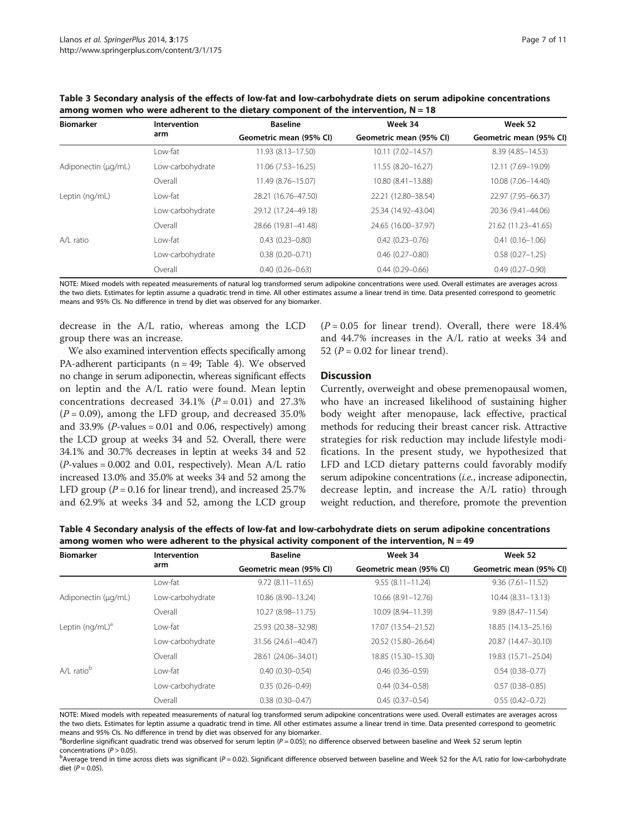<span id="page-6-0"></span>

| Table 3 Secondary analysis of the effects of low-fat and low-carbohydrate diets on serum adipokine concentrations |
|-------------------------------------------------------------------------------------------------------------------|
| among women who were adherent to the dietary component of the intervention, $N = 18$                              |

| <b>Biomarker</b>    | Intervention<br>arm | <b>Baseline</b>         | Week 34                 | Week 52                 |
|---------------------|---------------------|-------------------------|-------------------------|-------------------------|
|                     |                     | Geometric mean (95% CI) | Geometric mean (95% CI) | Geometric mean (95% CI) |
|                     | Low-fat             | 11.93 (8.13-17.50)      | 10.11 (7.02-14.57)      | 8.39 (4.85 - 14.53)     |
| Adiponectin (µg/mL) | Low-carbohydrate    | $11.06(7.53 - 16.25)$   | 11.55 (8.20-16.27)      | 12.11 (7.69-19.09)      |
|                     | Overall             | 11.49 (8.76-15.07)      | 10.80 (8.41-13.88)      | 10.08 (7.06-14.40)      |
| Leptin (ng/mL)      | Low-fat             | 28.21 (16.76-47.50)     | 22.21 (12.80-38.54)     | 22.97 (7.95-66.37)      |
|                     | Low-carbohydrate    | 29.12 (17.24-49.18)     | 25.34 (14.92-43.04)     | 20.36 (9.41-44.06)      |
|                     | Overall             | 28.66 (19.81-41.48)     | 24.65 (16.00-37.97)     | 21.62 (11.23-41.65)     |
| A/L ratio           | Low-fat             | $0.43(0.23 - 0.80)$     | $0.42(0.23 - 0.76)$     | $0.41(0.16 - 1.06)$     |
|                     | Low-carbohydrate    | $0.38(0.20 - 0.71)$     | $0.46(0.27 - 0.80)$     | $0.58(0.27 - 1.25)$     |
|                     | Overall             | $0.40(0.26 - 0.63)$     | $0.44(0.29 - 0.66)$     | $0.49(0.27 - 0.90)$     |

NOTE: Mixed models with repeated measurements of natural log transformed serum adipokine concentrations were used. Overall estimates are averages across the two diets. Estimates for leptin assume a quadratic trend in time. All other estimates assume a linear trend in time. Data presented correspond to geometric means and 95% CIs. No difference in trend by diet was observed for any biomarker.

decrease in the A/L ratio, whereas among the LCD group there was an increase.

We also examined intervention effects specifically among PA-adherent participants ( $n = 49$ ; Table 4). We observed no change in serum adiponectin, whereas significant effects on leptin and the A/L ratio were found. Mean leptin concentrations decreased  $34.1\%$  ( $P = 0.01$ ) and  $27.3\%$  $(P = 0.09)$ , among the LFD group, and decreased 35.0% and  $33.9\%$  (*P*-values = 0.01 and 0.06, respectively) among the LCD group at weeks 34 and 52. Overall, there were 34.1% and 30.7% decreases in leptin at weeks 34 and 52  $(P$ -values = 0.002 and 0.01, respectively). Mean A/L ratio increased 13.0% and 35.0% at weeks 34 and 52 among the LFD group ( $P = 0.16$  for linear trend), and increased 25.7% and 62.9% at weeks 34 and 52, among the LCD group  $(P = 0.05$  for linear trend). Overall, there were 18.4% and 44.7% increases in the A/L ratio at weeks 34 and 52 ( $P = 0.02$  for linear trend).

#### **Discussion**

Currently, overweight and obese premenopausal women, who have an increased likelihood of sustaining higher body weight after menopause, lack effective, practical methods for reducing their breast cancer risk. Attractive strategies for risk reduction may include lifestyle modifications. In the present study, we hypothesized that LFD and LCD dietary patterns could favorably modify serum adipokine concentrations (i.e., increase adiponectin, decrease leptin, and increase the A/L ratio) through weight reduction, and therefore, promote the prevention

Table 4 Secondary analysis of the effects of low-fat and low-carbohydrate diets on serum adipokine concentrations among women who were adherent to the physical activity component of the intervention,  $N = 49$ 

| <b>Biomarker</b>            | <b>Intervention</b><br>arm | <b>Baseline</b><br>Geometric mean (95% CI) | Week 34<br>Geometric mean (95% CI) | Week 52<br>Geometric mean (95% CI) |
|-----------------------------|----------------------------|--------------------------------------------|------------------------------------|------------------------------------|
|                             |                            |                                            |                                    |                                    |
| Adiponectin (µg/mL)         | Low-carbohydrate           | 10.86 (8.90-13.24)                         | 10.66 (8.91-12.76)                 | $10.44$ $(8.31 - 13.13)$           |
|                             | Overall                    | 10.27 (8.98-11.75)                         | 10.09 (8.94-11.39)                 | 9.89 (8.47-11.54)                  |
| Leptin (ng/mL) <sup>a</sup> | Low-fat                    | 25.93 (20.38-32.98)                        | 17.07 (13.54-21.52)                | 18.85 (14.13-25.16)                |
|                             | Low-carbohydrate           | 31.56 (24.61-40.47)                        | 20.52 (15.80-26.64)                | 20.87 (14.47-30.10)                |
|                             | Overall                    | 28.61 (24.06-34.01)                        | 18.85 (15.30-15.30)                | 19.83 (15.71-25.04)                |
| $A/L$ ratio <sup>b</sup>    | Low-fat                    | $0.40(0.30 - 0.54)$                        | $0.46(0.36 - 0.59)$                | $0.54(0.38 - 0.77)$                |
|                             | Low-carbohydrate           | $0.35(0.26 - 0.49)$                        | $0.44(0.34 - 0.58)$                | $0.57(0.38 - 0.85)$                |
|                             | Overall                    | $0.38(0.30 - 0.47)$                        | $0.45(0.37-0.54)$                  | $0.55(0.42 - 0.72)$                |

NOTE: Mixed models with repeated measurements of natural log transformed serum adipokine concentrations were used. Overall estimates are averages across the two diets. Estimates for leptin assume a quadratic trend in time. All other estimates assume a linear trend in time. Data presented correspond to geometric means and 95% CIs. No difference in trend by diet was observed for any biomarker.

<sup>a</sup>Borderline significant quadratic trend was observed for serum leptin (P = 0.05); no difference observed between baseline and Week 52 serum leptin concentrations ( $P > 0.05$ ).

 $b$ Average trend in time across diets was significant (P = 0.02). Significant difference observed between baseline and Week 52 for the A/L ratio for low-carbohydrate diet ( $P = 0.05$ ).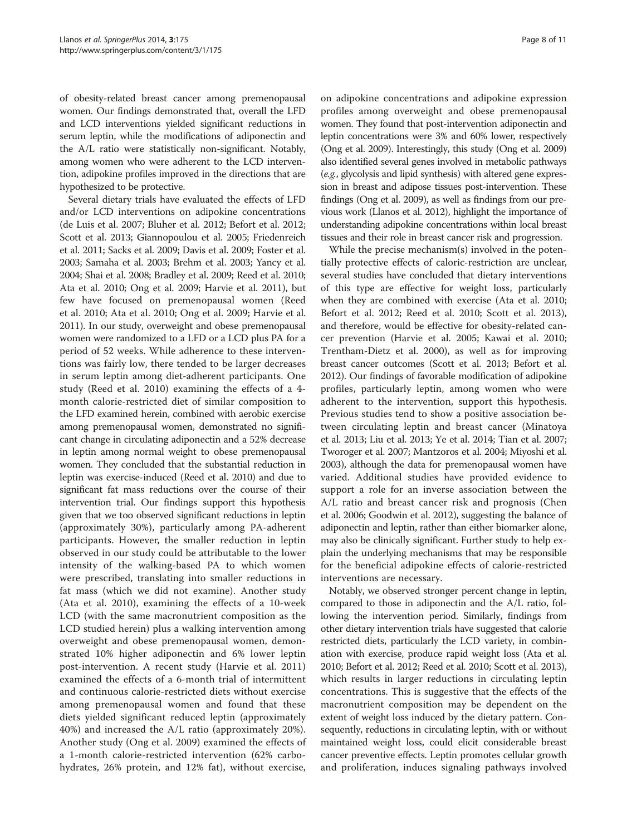of obesity-related breast cancer among premenopausal women. Our findings demonstrated that, overall the LFD and LCD interventions yielded significant reductions in serum leptin, while the modifications of adiponectin and the A/L ratio were statistically non-significant. Notably, among women who were adherent to the LCD intervention, adipokine profiles improved in the directions that are hypothesized to be protective.

Several dietary trials have evaluated the effects of LFD and/or LCD interventions on adipokine concentrations (de Luis et al. [2007](#page-9-0); Bluher et al. [2012;](#page-9-0) Befort et al. [2012](#page-9-0); Scott et al. [2013](#page-10-0); Giannopoulou et al. [2005;](#page-9-0) Friedenreich et al. [2011;](#page-9-0) Sacks et al. [2009;](#page-9-0) Davis et al. [2009](#page-9-0); Foster et al. [2003;](#page-9-0) Samaha et al. [2003;](#page-9-0) Brehm et al. [2003;](#page-9-0) Yancy et al. [2004;](#page-10-0) Shai et al. [2008;](#page-10-0) Bradley et al. [2009](#page-9-0); Reed et al. [2010](#page-9-0); Ata et al. [2010;](#page-8-0) Ong et al. [2009](#page-9-0); Harvie et al. [2011](#page-9-0)), but few have focused on premenopausal women (Reed et al. [2010;](#page-9-0) Ata et al. [2010;](#page-8-0) Ong et al. [2009](#page-9-0); Harvie et al. [2011\)](#page-9-0). In our study, overweight and obese premenopausal women were randomized to a LFD or a LCD plus PA for a period of 52 weeks. While adherence to these interventions was fairly low, there tended to be larger decreases in serum leptin among diet-adherent participants. One study (Reed et al. [2010](#page-9-0)) examining the effects of a 4 month calorie-restricted diet of similar composition to the LFD examined herein, combined with aerobic exercise among premenopausal women, demonstrated no significant change in circulating adiponectin and a 52% decrease in leptin among normal weight to obese premenopausal women. They concluded that the substantial reduction in leptin was exercise-induced (Reed et al. [2010\)](#page-9-0) and due to significant fat mass reductions over the course of their intervention trial. Our findings support this hypothesis given that we too observed significant reductions in leptin (approximately 30%), particularly among PA-adherent participants. However, the smaller reduction in leptin observed in our study could be attributable to the lower intensity of the walking-based PA to which women were prescribed, translating into smaller reductions in fat mass (which we did not examine). Another study (Ata et al. [2010](#page-8-0)), examining the effects of a 10-week LCD (with the same macronutrient composition as the LCD studied herein) plus a walking intervention among overweight and obese premenopausal women, demonstrated 10% higher adiponectin and 6% lower leptin post-intervention. A recent study (Harvie et al. [2011](#page-9-0)) examined the effects of a 6-month trial of intermittent and continuous calorie-restricted diets without exercise among premenopausal women and found that these diets yielded significant reduced leptin (approximately 40%) and increased the A/L ratio (approximately 20%). Another study (Ong et al. [2009](#page-9-0)) examined the effects of a 1-month calorie-restricted intervention (62% carbohydrates, 26% protein, and 12% fat), without exercise,

on adipokine concentrations and adipokine expression profiles among overweight and obese premenopausal women. They found that post-intervention adiponectin and leptin concentrations were 3% and 60% lower, respectively (Ong et al. [2009\)](#page-9-0). Interestingly, this study (Ong et al. [2009](#page-9-0)) also identified several genes involved in metabolic pathways (e.g., glycolysis and lipid synthesis) with altered gene expression in breast and adipose tissues post-intervention. These findings (Ong et al. [2009](#page-9-0)), as well as findings from our previous work (Llanos et al. [2012\)](#page-9-0), highlight the importance of understanding adipokine concentrations within local breast tissues and their role in breast cancer risk and progression.

While the precise mechanism(s) involved in the potentially protective effects of caloric-restriction are unclear, several studies have concluded that dietary interventions of this type are effective for weight loss, particularly when they are combined with exercise (Ata et al. [2010](#page-8-0); Befort et al. [2012;](#page-9-0) Reed et al. [2010;](#page-9-0) Scott et al. [2013](#page-10-0)), and therefore, would be effective for obesity-related cancer prevention (Harvie et al. [2005](#page-9-0); Kawai et al. [2010](#page-9-0); Trentham-Dietz et al. [2000](#page-10-0)), as well as for improving breast cancer outcomes (Scott et al. [2013](#page-10-0); Befort et al. [2012](#page-9-0)). Our findings of favorable modification of adipokine profiles, particularly leptin, among women who were adherent to the intervention, support this hypothesis. Previous studies tend to show a positive association between circulating leptin and breast cancer (Minatoya et al. [2013](#page-9-0); Liu et al. [2013;](#page-9-0) Ye et al. [2014](#page-10-0); Tian et al. [2007](#page-10-0); Tworoger et al. [2007;](#page-10-0) Mantzoros et al. [2004;](#page-9-0) Miyoshi et al. [2003](#page-9-0)), although the data for premenopausal women have varied. Additional studies have provided evidence to support a role for an inverse association between the A/L ratio and breast cancer risk and prognosis (Chen et al. [2006;](#page-9-0) Goodwin et al. [2012\)](#page-9-0), suggesting the balance of adiponectin and leptin, rather than either biomarker alone, may also be clinically significant. Further study to help explain the underlying mechanisms that may be responsible for the beneficial adipokine effects of calorie-restricted interventions are necessary.

Notably, we observed stronger percent change in leptin, compared to those in adiponectin and the A/L ratio, following the intervention period. Similarly, findings from other dietary intervention trials have suggested that calorie restricted diets, particularly the LCD variety, in combination with exercise, produce rapid weight loss (Ata et al. [2010](#page-8-0); Befort et al. [2012;](#page-9-0) Reed et al. [2010;](#page-9-0) Scott et al. [2013](#page-10-0)), which results in larger reductions in circulating leptin concentrations. This is suggestive that the effects of the macronutrient composition may be dependent on the extent of weight loss induced by the dietary pattern. Consequently, reductions in circulating leptin, with or without maintained weight loss, could elicit considerable breast cancer preventive effects. Leptin promotes cellular growth and proliferation, induces signaling pathways involved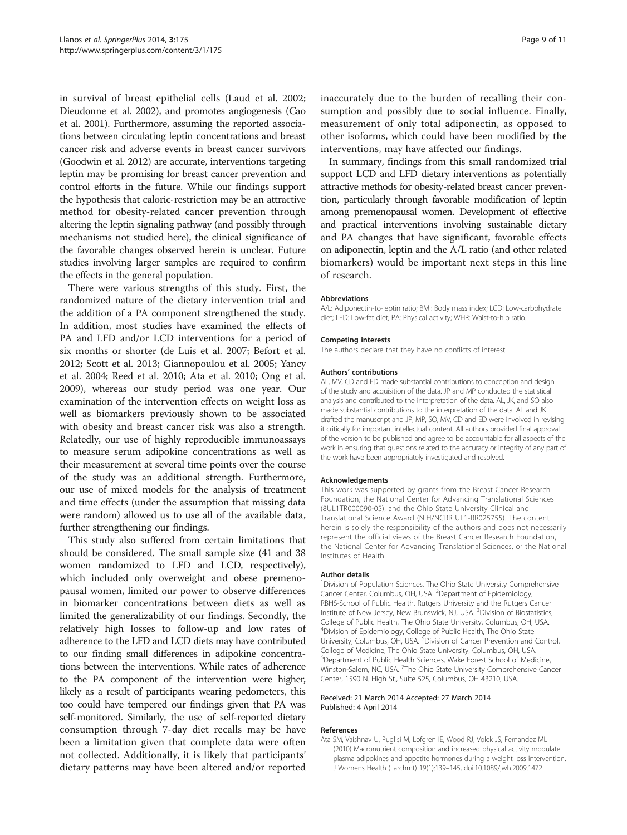<span id="page-8-0"></span>in survival of breast epithelial cells (Laud et al. [2002](#page-9-0); Dieudonne et al. [2002](#page-9-0)), and promotes angiogenesis (Cao et al. [2001](#page-9-0)). Furthermore, assuming the reported associations between circulating leptin concentrations and breast cancer risk and adverse events in breast cancer survivors (Goodwin et al. [2012\)](#page-9-0) are accurate, interventions targeting leptin may be promising for breast cancer prevention and control efforts in the future. While our findings support the hypothesis that caloric-restriction may be an attractive method for obesity-related cancer prevention through altering the leptin signaling pathway (and possibly through mechanisms not studied here), the clinical significance of the favorable changes observed herein is unclear. Future studies involving larger samples are required to confirm the effects in the general population.

There were various strengths of this study. First, the randomized nature of the dietary intervention trial and the addition of a PA component strengthened the study. In addition, most studies have examined the effects of PA and LFD and/or LCD interventions for a period of six months or shorter (de Luis et al. [2007;](#page-9-0) Befort et al. [2012](#page-9-0); Scott et al. [2013;](#page-10-0) Giannopoulou et al. [2005;](#page-9-0) Yancy et al. [2004;](#page-10-0) Reed et al. [2010](#page-9-0); Ata et al. 2010; Ong et al. [2009](#page-9-0)), whereas our study period was one year. Our examination of the intervention effects on weight loss as well as biomarkers previously shown to be associated with obesity and breast cancer risk was also a strength. Relatedly, our use of highly reproducible immunoassays to measure serum adipokine concentrations as well as their measurement at several time points over the course of the study was an additional strength. Furthermore, our use of mixed models for the analysis of treatment and time effects (under the assumption that missing data were random) allowed us to use all of the available data, further strengthening our findings.

This study also suffered from certain limitations that should be considered. The small sample size (41 and 38 women randomized to LFD and LCD, respectively), which included only overweight and obese premenopausal women, limited our power to observe differences in biomarker concentrations between diets as well as limited the generalizability of our findings. Secondly, the relatively high losses to follow-up and low rates of adherence to the LFD and LCD diets may have contributed to our finding small differences in adipokine concentrations between the interventions. While rates of adherence to the PA component of the intervention were higher, likely as a result of participants wearing pedometers, this too could have tempered our findings given that PA was self-monitored. Similarly, the use of self-reported dietary consumption through 7-day diet recalls may be have been a limitation given that complete data were often not collected. Additionally, it is likely that participants' dietary patterns may have been altered and/or reported

inaccurately due to the burden of recalling their consumption and possibly due to social influence. Finally, measurement of only total adiponectin, as opposed to other isoforms, which could have been modified by the interventions, may have affected our findings.

In summary, findings from this small randomized trial support LCD and LFD dietary interventions as potentially attractive methods for obesity-related breast cancer prevention, particularly through favorable modification of leptin among premenopausal women. Development of effective and practical interventions involving sustainable dietary and PA changes that have significant, favorable effects on adiponectin, leptin and the A/L ratio (and other related biomarkers) would be important next steps in this line of research.

#### Abbreviations

A/L: Adiponectin-to-leptin ratio; BMI: Body mass index; LCD: Low-carbohydrate diet; LFD: Low-fat diet; PA: Physical activity; WHR: Waist-to-hip ratio.

#### Competing interests

The authors declare that they have no conflicts of interest.

#### Authors' contributions

AL, MV, CD and ED made substantial contributions to conception and design of the study and acquisition of the data. JP and MP conducted the statistical analysis and contributed to the interpretation of the data. AL, JK, and SO also made substantial contributions to the interpretation of the data. AL and JK drafted the manuscript and JP, MP, SO, MV, CD and ED were involved in revising it critically for important intellectual content. All authors provided final approval of the version to be published and agree to be accountable for all aspects of the work in ensuring that questions related to the accuracy or integrity of any part of the work have been appropriately investigated and resolved.

#### Acknowledgements

This work was supported by grants from the Breast Cancer Research Foundation, the National Center for Advancing Translational Sciences (8UL1TR000090-05), and the Ohio State University Clinical and Translational Science Award (NIH/NCRR UL1-RR025755). The content herein is solely the responsibility of the authors and does not necessarily represent the official views of the Breast Cancer Research Foundation, the National Center for Advancing Translational Sciences, or the National Institutes of Health.

#### Author details

<sup>1</sup> Division of Population Sciences, The Ohio State University Comprehensive Cancer Center, Columbus, OH, USA. <sup>2</sup>Department of Epidemiology RBHS-School of Public Health, Rutgers University and the Rutgers Cancer Institute of New Jersey, New Brunswick, NJ, USA. <sup>3</sup> Division of Biostatistics, College of Public Health, The Ohio State University, Columbus, OH, USA. 4 Division of Epidemiology, College of Public Health, The Ohio State University, Columbus, OH, USA. <sup>5</sup> Division of Cancer Prevention and Control, College of Medicine, The Ohio State University, Columbus, OH, USA. 6 Department of Public Health Sciences, Wake Forest School of Medicine, Winston-Salem, NC, USA. <sup>7</sup>The Ohio State University Comprehensive Cancer Center, 1590 N. High St., Suite 525, Columbus, OH 43210, USA.

#### Received: 21 March 2014 Accepted: 27 March 2014 Published: 4 April 2014

#### References

Ata SM, Vaishnav U, Puglisi M, Lofgren IE, Wood RJ, Volek JS, Fernandez ML (2010) Macronutrient composition and increased physical activity modulate plasma adipokines and appetite hormones during a weight loss intervention. J Womens Health (Larchmt) 19(1):139–145, doi:10.1089/jwh.2009.1472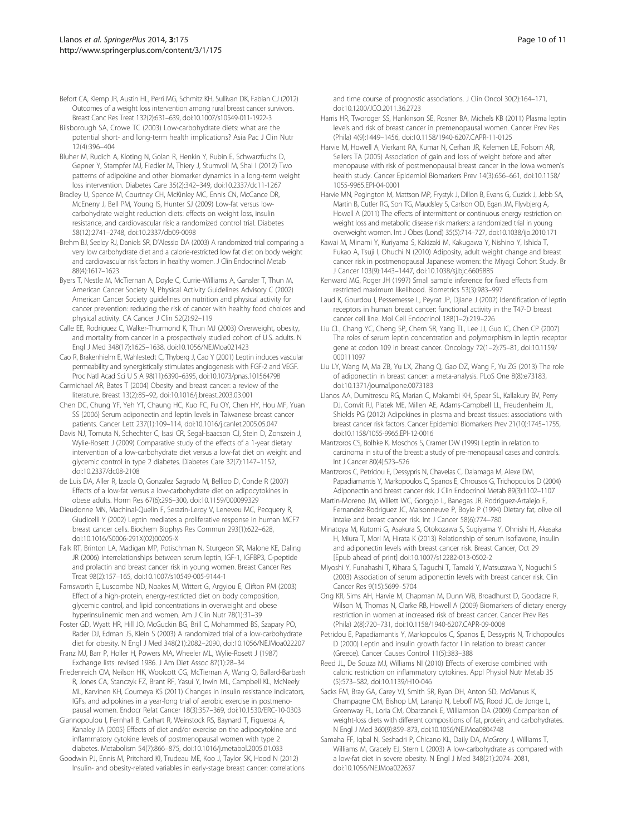- <span id="page-9-0"></span>Befort CA, Klemp JR, Austin HL, Perri MG, Schmitz KH, Sullivan DK, Fabian CJ (2012) Outcomes of a weight loss intervention among rural breast cancer survivors. Breast Canc Res Treat 132(2):631–639, doi:10.1007/s10549-011-1922-3
- Bilsborough SA, Crowe TC (2003) Low-carbohydrate diets: what are the potential short- and long-term health implications? Asia Pac J Clin Nutr 12(4):396–404
- Bluher M, Rudich A, Kloting N, Golan R, Henkin Y, Rubin E, Schwarzfuchs D, Gepner Y, Stampfer MJ, Fiedler M, Thiery J, Stumvoll M, Shai I (2012) Two patterns of adipokine and other biomarker dynamics in a long-term weight loss intervention. Diabetes Care 35(2):342–349, doi:10.2337/dc11-1267
- Bradley U, Spence M, Courtney CH, McKinley MC, Ennis CN, McCance DR, McEneny J, Bell PM, Young IS, Hunter SJ (2009) Low-fat versus lowcarbohydrate weight reduction diets: effects on weight loss, insulin resistance, and cardiovascular risk: a randomized control trial. Diabetes 58(12):2741–2748, doi:10.2337/db09-0098
- Brehm BJ, Seeley RJ, Daniels SR, D'Alessio DA (2003) A randomized trial comparing a very low carbohydrate diet and a calorie-restricted low fat diet on body weight and cardiovascular risk factors in healthy women. J Clin Endocrinol Metab 88(4):1617–1623
- Byers T, Nestle M, McTiernan A, Doyle C, Currie-Williams A, Gansler T, Thun M, American Cancer Society N, Physical Activity Guidelines Advisory C (2002) American Cancer Society guidelines on nutrition and physical activity for cancer prevention: reducing the risk of cancer with healthy food choices and physical activity. CA Cancer J Clin 52(2):92–119
- Calle EE, Rodriguez C, Walker-Thurmond K, Thun MJ (2003) Overweight, obesity, and mortality from cancer in a prospectively studied cohort of U.S. adults. N Engl J Med 348(17):1625–1638, doi:10.1056/NEJMoa021423
- Cao R, Brakenhielm E, Wahlestedt C, Thyberg J, Cao Y (2001) Leptin induces vascular permeability and synergistically stimulates angiogenesis with FGF-2 and VEGF. Proc Natl Acad Sci U S A 98(11):6390–6395, doi:10.1073/pnas.101564798
- Carmichael AR, Bates T (2004) Obesity and breast cancer: a review of the literature. Breast 13(2):85–92, doi:10.1016/j.breast.2003.03.001
- Chen DC, Chung YF, Yeh YT, Chaung HC, Kuo FC, Fu OY, Chen HY, Hou MF, Yuan SS (2006) Serum adiponectin and leptin levels in Taiwanese breast cancer patients. Cancer Lett 237(1):109–114, doi:10.1016/j.canlet.2005.05.047
- Davis NJ, Tomuta N, Schechter C, Isasi CR, Segal-Isaacson CJ, Stein D, Zonszein J, Wylie-Rosett J (2009) Comparative study of the effects of a 1-year dietary intervention of a low-carbohydrate diet versus a low-fat diet on weight and glycemic control in type 2 diabetes. Diabetes Care 32(7):1147–1152, doi:10.2337/dc08-2108
- de Luis DA, Aller R, Izaola O, Gonzalez Sagrado M, Bellioo D, Conde R (2007) Effects of a low-fat versus a low-carbohydrate diet on adipocytokines in obese adults. Horm Res 67(6):296–300, doi:10.1159/000099329
- Dieudonne MN, Machinal-Quelin F, Serazin-Leroy V, Leneveu MC, Pecquery R, Giudicelli Y (2002) Leptin mediates a proliferative response in human MCF7 breast cancer cells. Biochem Biophys Res Commun 293(1):622–628, doi:10.1016/S0006-291X(02)00205-X
- Falk RT, Brinton LA, Madigan MP, Potischman N, Sturgeon SR, Malone KE, Daling JR (2006) Interrelationships between serum leptin, IGF-1, IGFBP3, C-peptide and prolactin and breast cancer risk in young women. Breast Cancer Res Treat 98(2):157–165, doi:10.1007/s10549-005-9144-1
- Farnsworth E, Luscombe ND, Noakes M, Wittert G, Argyiou E, Clifton PM (2003) Effect of a high-protein, energy-restricted diet on body composition, glycemic control, and lipid concentrations in overweight and obese hyperinsulinemic men and women. Am J Clin Nutr 78(1):31–39
- Foster GD, Wyatt HR, Hill JO, McGuckin BG, Brill C, Mohammed BS, Szapary PO, Rader DJ, Edman JS, Klein S (2003) A randomized trial of a low-carbohydrate diet for obesity. N Engl J Med 348(21):2082–2090, doi:10.1056/NEJMoa022207
- Franz MJ, Barr P, Holler H, Powers MA, Wheeler ML, Wylie-Rosett J (1987) Exchange lists: revised 1986. J Am Diet Assoc 87(1):28–34
- Friedenreich CM, Neilson HK, Woolcott CG, McTiernan A, Wang Q, Ballard-Barbash R, Jones CA, Stanczyk FZ, Brant RF, Yasui Y, Irwin ML, Campbell KL, McNeely ML, Karvinen KH, Courneya KS (2011) Changes in insulin resistance indicators, IGFs, and adipokines in a year-long trial of aerobic exercise in postmenopausal women. Endocr Relat Cancer 18(3):357–369, doi:10.1530/ERC-10-0303
- Giannopoulou I, Fernhall B, Carhart R, Weinstock RS, Baynard T, Figueroa A, Kanaley JA (2005) Effects of diet and/or exercise on the adipocytokine and inflammatory cytokine levels of postmenopausal women with type 2 diabetes. Metabolism 54(7):866–875, doi:10.1016/j.metabol.2005.01.033
- Goodwin PJ, Ennis M, Pritchard KI, Trudeau ME, Koo J, Taylor SK, Hood N (2012) Insulin- and obesity-related variables in early-stage breast cancer: correlations

and time course of prognostic associations. J Clin Oncol 30(2):164–171, doi:10.1200/JCO.2011.36.2723

- Harris HR, Tworoger SS, Hankinson SE, Rosner BA, Michels KB (2011) Plasma leptin levels and risk of breast cancer in premenopausal women. Cancer Prev Res (Phila) 4(9):1449–1456, doi:10.1158/1940-6207.CAPR-11-0125
- Harvie M, Howell A, Vierkant RA, Kumar N, Cerhan JR, Kelemen LE, Folsom AR, Sellers TA (2005) Association of gain and loss of weight before and after menopause with risk of postmenopausal breast cancer in the Iowa women's health study. Cancer Epidemiol Biomarkers Prev 14(3):656–661, doi:10.1158/ 1055-9965.EPI-04-0001
- Harvie MN, Pegington M, Mattson MP, Frystyk J, Dillon B, Evans G, Cuzick J, Jebb SA, Martin B, Cutler RG, Son TG, Maudsley S, Carlson OD, Egan JM, Flyvbjerg A, Howell A (2011) The effects of intermittent or continuous energy restriction on weight loss and metabolic disease risk markers: a randomized trial in young overweight women. Int J Obes (Lond) 35(5):714–727, doi:10.1038/ijo.2010.171
- Kawai M, Minami Y, Kuriyama S, Kakizaki M, Kakugawa Y, Nishino Y, Ishida T, Fukao A, Tsuji I, Ohuchi N (2010) Adiposity, adult weight change and breast cancer risk in postmenopausal Japanese women: the Miyagi Cohort Study. Br J Cancer 103(9):1443–1447, doi:10.1038/sj.bjc.6605885
- Kenward MG, Roger JH (1997) Small sample inference for fixed effects from restricted maximum likelihood. Biometrics 53(3):983–997
- Laud K, Gourdou I, Pessemesse L, Peyrat JP, Djiane J (2002) Identification of leptin receptors in human breast cancer: functional activity in the T47-D breast cancer cell line. Mol Cell Endocrinol 188(1–2):219–226
- Liu CL, Chang YC, Cheng SP, Chern SR, Yang TL, Lee JJ, Guo IC, Chen CP (2007) The roles of serum leptin concentration and polymorphism in leptin receptor gene at codon 109 in breast cancer. Oncology 72(1–2):75–81, doi:10.1159/ 000111097
- Liu LY, Wang M, Ma ZB, Yu LX, Zhang Q, Gao DZ, Wang F, Yu ZG (2013) The role of adiponectin in breast cancer: a meta-analysis. PLoS One 8(8):e73183, doi:10.1371/journal.pone.0073183
- Llanos AA, Dumitrescu RG, Marian C, Makambi KH, Spear SL, Kallakury BV, Perry DJ, Convit RJ, Platek ME, Millen AE, Adams-Campbell LL, Freudenheim JL, Shields PG (2012) Adipokines in plasma and breast tissues: associations with breast cancer risk factors. Cancer Epidemiol Biomarkers Prev 21(10):1745–1755, doi:10.1158/1055-9965.EPI-12-0016
- Mantzoros CS, Bolhke K, Moschos S, Cramer DW (1999) Leptin in relation to carcinoma in situ of the breast: a study of pre-menopausal cases and controls. Int J Cancer 80(4):523–526
- Mantzoros C, Petridou E, Dessypris N, Chavelas C, Dalamaga M, Alexe DM, Papadiamantis Y, Markopoulos C, Spanos E, Chrousos G, Trichopoulos D (2004) Adiponectin and breast cancer risk. J Clin Endocrinol Metab 89(3):1102–1107
- Martin-Moreno JM, Willett WC, Gorgojo L, Banegas JR, Rodriguez-Artalejo F, Fernandez-Rodriguez JC, Maisonneuve P, Boyle P (1994) Dietary fat, olive oil intake and breast cancer risk. Int J Cancer 58(6):774–780
- Minatoya M, Kutomi G, Asakura S, Otokozawa S, Sugiyama Y, Ohnishi H, Akasaka H, Miura T, Mori M, Hirata K (2013) Relationship of serum isoflavone, insulin and adiponectin levels with breast cancer risk. Breast Cancer, Oct 29 [Epub ahead of print] doi:10.1007/s12282-013-0502-2
- Miyoshi Y, Funahashi T, Kihara S, Taguchi T, Tamaki Y, Matsuzawa Y, Noguchi S (2003) Association of serum adiponectin levels with breast cancer risk. Clin Cancer Res 9(15):5699–5704
- Ong KR, Sims AH, Harvie M, Chapman M, Dunn WB, Broadhurst D, Goodacre R, Wilson M, Thomas N, Clarke RB, Howell A (2009) Biomarkers of dietary energy restriction in women at increased risk of breast cancer. Cancer Prev Res (Phila) 2(8):720–731, doi:10.1158/1940-6207.CAPR-09-0008
- Petridou E, Papadiamantis Y, Markopoulos C, Spanos E, Dessypris N, Trichopoulos D (2000) Leptin and insulin growth factor I in relation to breast cancer (Greece). Cancer Causes Control 11(5):383–388
- Reed JL, De Souza MJ, Williams NI (2010) Effects of exercise combined with caloric restriction on inflammatory cytokines. Appl Physiol Nutr Metab 35 (5):573–582, doi:10.1139/H10-046
- Sacks FM, Bray GA, Carey VJ, Smith SR, Ryan DH, Anton SD, McManus K, Champagne CM, Bishop LM, Laranjo N, Leboff MS, Rood JC, de Jonge L, Greenway FL, Loria CM, Obarzanek E, Williamson DA (2009) Comparison of weight-loss diets with different compositions of fat, protein, and carbohydrates. N Engl J Med 360(9):859–873, doi:10.1056/NEJMoa0804748
- Samaha FF, Iqbal N, Seshadri P, Chicano KL, Daily DA, McGrory J, Williams T, Williams M, Gracely EJ, Stern L (2003) A low-carbohydrate as compared with a low-fat diet in severe obesity. N Engl J Med 348(21):2074–2081, doi:10.1056/NEJMoa022637